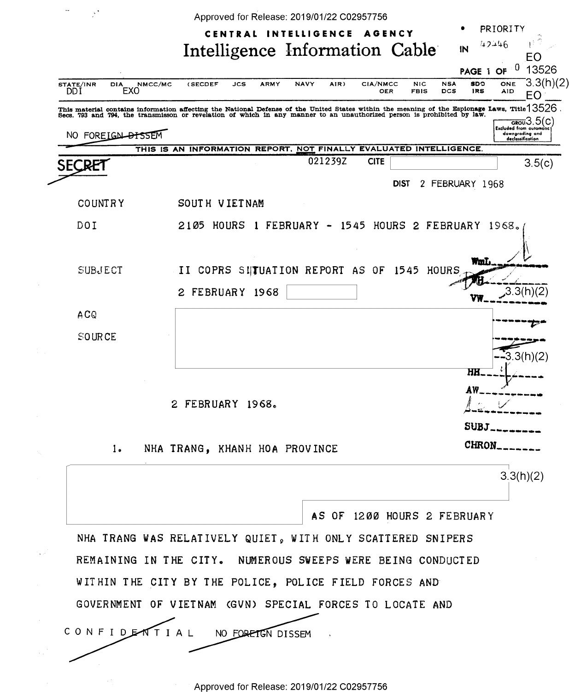| STATE/INR<br><b>DIA</b> | NMCC/MC<br>NAVY<br>CIA/NMCC<br>(SECDEF<br>JCS<br>ARMY<br>AIR)                                                                                                                                                                 | EO<br>0<br>13526<br>PAGE 1 OF<br>3.3(h)(2)<br><b>SDO</b><br>ONE<br><b>NIC</b><br><b>NSA</b> |
|-------------------------|-------------------------------------------------------------------------------------------------------------------------------------------------------------------------------------------------------------------------------|---------------------------------------------------------------------------------------------|
| DDI<br>EXO              | OER                                                                                                                                                                                                                           | DCS<br><b>FBIS</b><br>1RS<br>AID<br>EO                                                      |
|                         | This material contains information affecting the National Defense of the United States within the meaning of the Esplonage Laws, Title 13526 Secs. 793 and 794, the transmisson or revelation of which in any manner to an un | <mark>. ფი</mark> ო3.5(c<br><b>Excluded from automatic</b>                                  |
| NO FOREIGN DISSEM       | THIS IS AN INFORMATION REPORT, NOT FINALLY EVALUATED INTELLIGENCE.                                                                                                                                                            | downgrading and<br>declassification                                                         |
| SECRE1                  | 021239Z<br><b>CITE</b>                                                                                                                                                                                                        | 3.5(c)                                                                                      |
|                         | <b>DIST</b>                                                                                                                                                                                                                   | 2 FEBRUARY 1968                                                                             |
| <b>COUNTRY</b>          | SOUTH VIETNAM                                                                                                                                                                                                                 |                                                                                             |
| DOI                     | 2105 HOURS 1 FEBRUARY - 1545 HOURS 2 FEBRUARY 1968.                                                                                                                                                                           |                                                                                             |
|                         |                                                                                                                                                                                                                               |                                                                                             |
| <b>SUBJECT</b>          | II COPRS SUTUATION REPORT AS OF<br>1545                                                                                                                                                                                       | wmL<br>HOURS                                                                                |
|                         | 2 FEBRUARY 1968                                                                                                                                                                                                               | .3.3(r                                                                                      |
| ACQ                     |                                                                                                                                                                                                                               |                                                                                             |
| SOURCE                  |                                                                                                                                                                                                                               |                                                                                             |
|                         |                                                                                                                                                                                                                               | (3(h)(2))                                                                                   |
|                         |                                                                                                                                                                                                                               | HH                                                                                          |
|                         | 2 FEBRUARY 1968.                                                                                                                                                                                                              |                                                                                             |
|                         |                                                                                                                                                                                                                               | $SUBJ$ <sub>-----</sub>                                                                     |
| $1 -$                   | NHA TRANG, KHANH HOA PROVINCE                                                                                                                                                                                                 | CHRON_                                                                                      |
|                         |                                                                                                                                                                                                                               | 3.3(h)(2)                                                                                   |
|                         |                                                                                                                                                                                                                               |                                                                                             |
|                         | AS OF 1200 HOURS 2 FEBRUARY                                                                                                                                                                                                   |                                                                                             |
|                         | NHA TRANG WAS RELATIVELY QUIET, WITH ONLY SCATTERED SNIPERS                                                                                                                                                                   |                                                                                             |
|                         | REMAINING IN THE CITY. NUMEROUS SWEEPS WERE BEING CONDUCTED                                                                                                                                                                   |                                                                                             |
|                         | WITHIN THE CITY BY THE POLICE, POLICE FIELD FORCES AND                                                                                                                                                                        |                                                                                             |
|                         | GOVERNMENT OF VIETNAM (GVN) SPECIAL FORCES TO LOCATE AND                                                                                                                                                                      |                                                                                             |
| CONFIDENTIAL            | NO FORETGN DISSEM                                                                                                                                                                                                             |                                                                                             |
|                         |                                                                                                                                                                                                                               |                                                                                             |

Approved for Release: 2019/01/22 C02957756 ' Approved for Release: 2019/01/22 002957756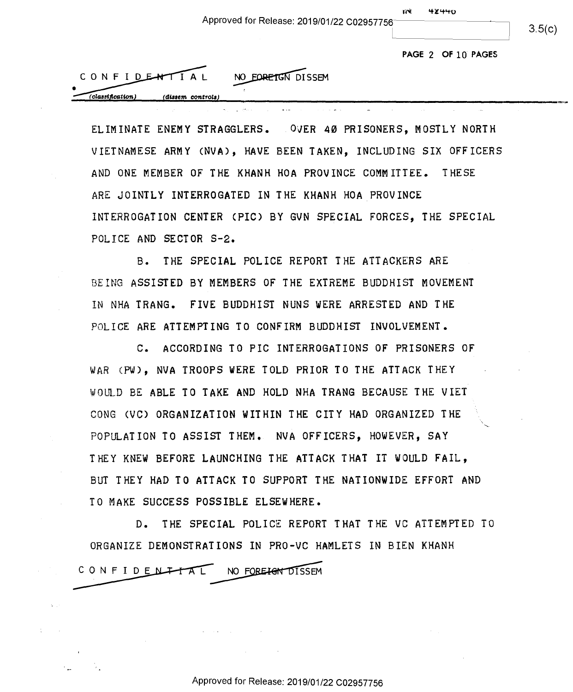|                                                         | . |        |
|---------------------------------------------------------|---|--------|
| Approved for Release: 2019/01/22 C02957756 <sup>–</sup> |   |        |
|                                                         |   | 3.5(n) |

 $3.5(c)$ 

**PAGE** 2 **OF** 10 **PAGES**  PAGE 2 "OF IO PAGES

4)!4'+0 IN 'FI'IH'H'O

| CONFIDENTIAL    |                   | NO EDRETGN DISSEM |
|-----------------|-------------------|-------------------|
| classification) | (dissem controls) |                   |
|                 |                   |                   |

ELIMINATE ENEMY STRAGGLERS. OVER 40 PRISONERS, MOSTLY NORTH VIETNAMESE ARMY (NVA), HAVE BEEN TAKEN, INCLUDING SIX OFFICERS VIETNAMESE ARMY (NVA), HAVE BEEN TAKEN, INCLUDING SIK OFFICERS AND ONE MEMBER OF THE KHANH HOA PROVINCE COMMITTEE. THESE AND ONE MEMBER OF THE KHANH HOA PROVINCE COMMITTEE. THESE ARE JOINTLY INTERROGATED IN THE KHANH HOA PROVINCE ARE JOINTLY INTERROGAIED IN THE KHANH HOA\_PROVINCE INTERROGATION CENTER <PIC) BY GVN SPECIAL FORCES, THE SPECIAL INIERROGATION CENTER (PIC) BY GVN SPECIAL FORCES, THE SPECIAL POLICE AND SECTOR S-2. POLICE AND SECTOR 5-2.

 $\mathbf{L}$  and  $\mathbf{L}$ 

and a great

B. THE SPECIAL POLICE REPORT THE ATTACKERS ARE B. THE SPECIAL POLICE REPORT THE ATTACKERS ARE BE ING ASSISTED BY MEMBERS OF THE EXTREME BUDDHIST MOVEMENT BEING ASSISTED BY MEMBERS OF THE EKTREME BUDDHIST MOVEMENT IN NHA TRANG. FIVE BUDDHIST NUNS WERE ARRESTED AND THE IN NHA TRANS. FIVE BUDDHIST NUNS MERE ARRESTED AND THE POLICE ARE ATTEMPTING TO CONFIRM BUDDHIST INVOLVEMENT. POLICE ARE ATTEMPTING TO CONFIRM BUDDHIST INVOLVEMENT.

C. ACCORDING TOPIC INTERROGATIONS OF PRISONERS OF C. ACCORDING TO PIC INTERROGATIONS 0F PRISONERS OF WAR CPW), NVA TROOPS WERE TOLD PRIOR TO THE ATTACK THEY VAR (PW), NVA TROOPS VERE TOLD PRIOR TO THE ATTACK THEY WOllLD BE ABLE TO TAKE AND HOLD NHA TRANG BECAUSE THE VIET VOULD BE ABLE TO TAKE AND HOLD NHA TRANS BECAUSE THE VIET CONG CVC) ORGANIZATION WITHIN THE CITY HAD ORGANIZED THE CONS (VC) ORGANIZATION VITHIN THE CITY HAD ORGANIZED THE ° POPULATION TO ASSIST THEM• NVA OFFICERS, HOWEVER, SAY POPULATION TO ASSIST THEM.. NVA OFFICERS, HOVEVER, SAY THEY KNEW BEFORE LAUNCHING THE ATTACK THAT IT WOULD FAIL, THEY KNEV BEFORE LAUNCHING THE ATTACK THAT IT VOULD FAIL, BUT THEY HAD TO ATTACK TO SUPPORT THE NATIONWIDE EFFORT AND BUT THEY HAD TO ATTACK TO SUPPORT THE NATIONVIDE EFFORT AND TO MAKE SUCCESS POSSIBLE ELSEWHERE. TO MAKE SUCCESS POSSIBLE ELSEVHERE.

D. THE SPECIAL POLICE REPORT THAT THE VG ATTEMPTED TO D. THE SPECIAL POLICE REPORT THAT THE VC ATTEMPTED TO ORGANIZE DEMONSTRATIONS IN PRO-VG HAMLETS IN BIEN KHANH ORGANIZE DEMONSTRATIONS IN PRO-VC HAMLETS IN BIEN KHANH POSSIBLE ELSEWHERE.<br>PECIAL POLICE REPORT THAT<br>RATIONS IN PRO-VC HAMLETS CONFIDENTIAL NO FOREIGN DISSEM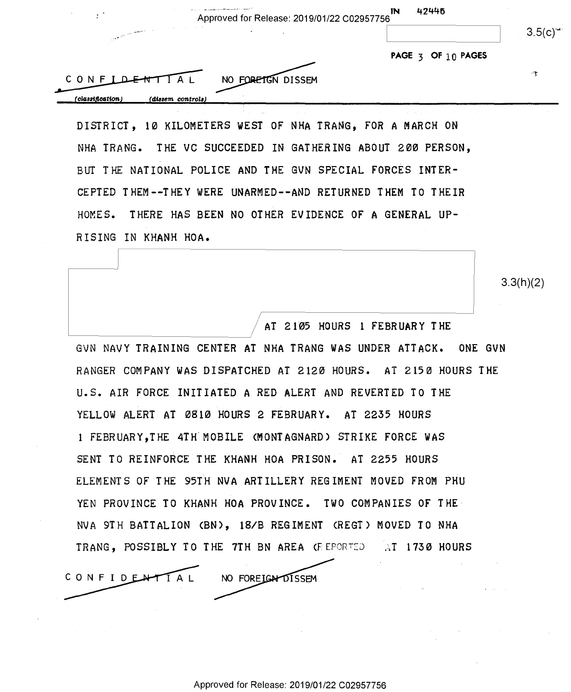| $\Delta_{\rm{max}}$ , and a simulational constraint process to a state of<br>Approved for Release: 2019/01/22 C02957756                                                                                                                                                                                                                                           | 42446<br>IN                                |        |
|-------------------------------------------------------------------------------------------------------------------------------------------------------------------------------------------------------------------------------------------------------------------------------------------------------------------------------------------------------------------|--------------------------------------------|--------|
| <b>Contract Contract</b><br>$\label{eq:2.1} \mathcal{L} = \mathcal{L} \left( \mathcal{L} \right) \left( \mathcal{L} \right) \left( \mathcal{L} \right) \left( \mathcal{L} \right) \left( \mathcal{L} \right) \left( \mathcal{L} \right) \left( \mathcal{L} \right) \left( \mathcal{L} \right) \left( \mathcal{L} \right) \left( \mathcal{L} \right)$<br>$\bullet$ |                                            | 3.5(c) |
|                                                                                                                                                                                                                                                                                                                                                                   | PAGE $\frac{1}{3}$ OF $\frac{1}{10}$ PAGES |        |
| NO FORETGN DISSEM<br>CONF                                                                                                                                                                                                                                                                                                                                         |                                            | $\sim$ |
| (classification)<br>(dissem controls)                                                                                                                                                                                                                                                                                                                             |                                            |        |

DISTRICT, 10 KILOMETERS WEST OF NHA TRANG, FOR A MARCH ON DISTRICT, 12 KILOMETERS VEST OF NHA TRANG, FOR A MARCH ON NHA TRANG. THE VC SUCCEEDED IN GATHERING ABOUT 200 PERSON, NHA TRANG. THE VC SUCCEEDED IN GATHERING ABOUT 2GB PERSON, BUT THE NATIONAL POLICE AND THE GVN SPECIAL FORCES INTER-BUT THE NATIONAL POLICE AND THE GVN SPECIAL FORCES INTER-CEPTED THEM--THEY WERE UNARMED--AND RETURNED THEM TO THEIR CEPTED THEM-~THEY VERE UNARNED--AND RETURNED THEM TO THEIR HOMES. THERE HAS BEEN NO OTHER EVIDENCE OF A GENERAL UP-RISING IN KHANH HOA.

 $3.3(h)(2)$ 

 $/$  AT 2105 HOURS 1 FEBRUARY THE GVN NAVY TRAINING CENTER AT NHA TRANG WAS UNDER ATTACK. ONE GVN GVN NAVY TRAINING CENTER AT NHA TRANG VAS UNDER ATTACK. ONE GVN RANGER COMPANY WAS DISPATCHED AT 2120 HOURS. AT 2150 HOURS THE RANGER COMPANY VAS DISPATCHED AT 2122 HOURS. AT 2152 HOURS THE U.S. AIR FORCE INITIATED A RED ALERT AND REVERTED TO THE U.S. AIR FORCE INITIATED A RED ALERT AND REVERTED TO THE YELLOW ALERT AT 0810 HOURS 2 FEBRUARY. AT 2235 HOURS YELLON ALERT AT 2812 HOURS 2 FEBRUARY. AT 2255 HOURS 1 FEBRUARY, THE 4TH MOBILE (MONTAGNARD) STRIKE FORCE WAS SENT TO REINFORCE THE KHANH HOA PRISON. AT 2255 HOURS ELEMENTS OF THE 95TH NVA ARTILLERY REGIMENT MOVED FROM PHU ELEMENTS OF THE 95TH NVA ARTILLERY REGIMENT MOVED FROM PHU YEN PROVINCE TO KHANH HOA PROVINCE. TWO COMPANIES OF THE= NVA 9TH BATTALION CBN), 18/B REGIMENT <REGT) MOVED TO NHA NVA 9TH BATTALION (BN), IS/B REGIMENT (REGT) MOVED TO NHA TRANG, POSSIBLY TO THE 7TH BN AREA (REPORTED (AT 1730 HOURS |<br>|

CONFIDENTIAL NO FOREIGNOISSEM

I

Q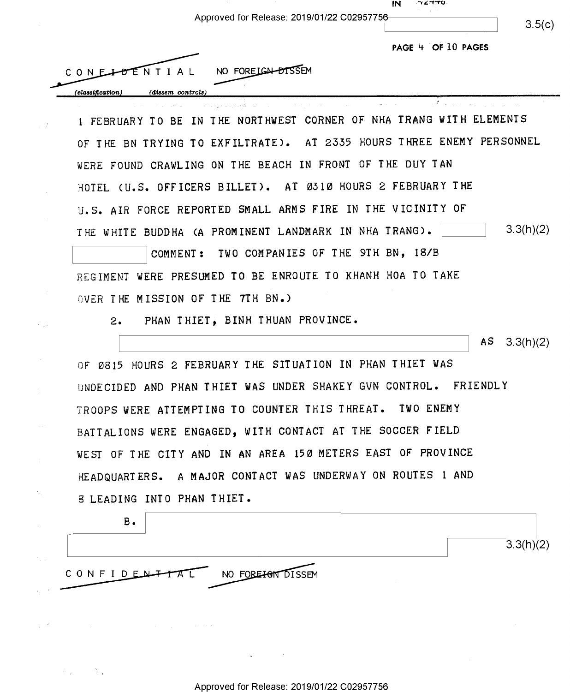|                                                                      | ツィーサロ<br>IN        |                 |
|----------------------------------------------------------------------|--------------------|-----------------|
| Approved for Release: 2019/01/22 C02957756                           |                    | 3.5(c)          |
|                                                                      | PAGE 4 OF 10 PAGES |                 |
| NO FOREIGN DISSEM<br>CONELOENTIAL                                    |                    |                 |
| (classification)<br>(dissem controls)                                |                    |                 |
| IN THE NORTHWEST CORNER OF NHA TRANG WITH ELEMENTS                   |                    |                 |
| 1 FEBRUARY TO BE                                                     |                    |                 |
| OF THE BN TRYING TO EXFILTRATE). AT 2335 HOURS THREE ENEMY PERSONNEL |                    |                 |
| WERE FOUND CRAWLING ON THE BEACH IN FRONT OF THE DUY TAN             |                    |                 |
| AT 0310 HOURS 2 FEBRUARY THE<br>HOTEL (U.S. OFFICERS BILLET).        |                    |                 |
| U.S. AIR FORCE REPORTED SMALL ARMS FIRE IN THE VICINITY OF           |                    |                 |
| THE WHITE BUDDHA (A PROMINENT LANDMARK IN NHA TRANG).                |                    | 3.3(h)(2)       |
| TWO COMPANIES OF THE 9TH BN, 18/B<br>COMMENT:                        |                    |                 |
| WERE PRESUMED TO BE ENROUTE TO KHANH HOA TO TAKE<br>REGIMENT         |                    |                 |
| OVER THE MISSION OF THE 7TH BN.)                                     |                    |                 |
| PHAN THIET, BINH THUAN PROVINCE.<br>2.                               |                    |                 |
|                                                                      |                    | AS<br>3.3(h)(2) |
| 0815 HOURS 2 FEBRUARY THE SITUATION IN PHAN THIET WAS                |                    |                 |
| OF.                                                                  |                    |                 |
| UNDECIDED AND PHAN THIET WAS UNDER SHAKEY GVN CONTROL.               | FRIENDLY           |                 |
| TROOPS WERE ATTEMPTING TO COUNTER THIS THREAT. TWO ENEMY             |                    |                 |
| BATTALIONS WERE ENGAGED, WITH CONTACT AT THE SOCCER FIELD            |                    |                 |
| WEST OF THE CITY AND IN AN AREA 150 METERS EAST OF PROVINCE          |                    |                 |
| HEADQUARTERS. A MAJOR CONTACT WAS UNDERWAY ON ROUTES 1 AND           |                    |                 |
| 8 LEADING INTO PHAN THIET.                                           |                    |                 |
| $B -$                                                                |                    |                 |

CONFIDENTAL NO FOREIGN DISSEM

 $\zeta_1=\kappa$ 

 $\mathcal{A}_{\mathcal{A}}$  , and  $\mathcal{A}_{\mathcal{A}}$ 

 $\mathcal{L}^{(1)}$  and  $\mathcal{L}^{(2)}$  are the set of the set of the set of the set of the set of  $\mathcal{L}^{(1)}$ 

 $\label{eq:2.1} \frac{1}{\sqrt{2\pi}}\int_{\mathbb{R}^{2}}\frac{1}{\sqrt{2\pi}}\left(\frac{1}{\sqrt{2\pi}}\right)^{2}e^{-\frac{1}{2}\left(\frac{1}{\sqrt{2\pi}}\right)^{2}}\frac{1}{\sqrt{2\pi}}\int_{\mathbb{R}^{2}}\frac{1}{\sqrt{2\pi}}\frac{e^{-\frac{1}{2}\left(\frac{1}{\sqrt{2\pi}}\right)}}{e^{-\frac{1}{2}\left(\frac{1}{\sqrt{2\pi}}\right)}}\frac{1}{\sqrt{2\pi}}\frac{e^{-\frac{1}{2}\left(\frac{1}{\sqrt{2\pi}}$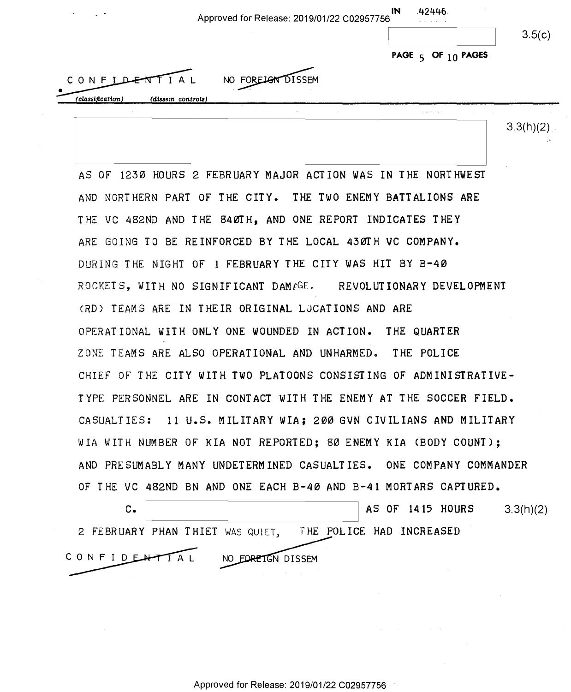| $\rightarrow$    |                   | Approved for Release: 2019/01/22 C02957756 | IN | .42446.<br>.           |        |
|------------------|-------------------|--------------------------------------------|----|------------------------|--------|
|                  |                   |                                            |    |                        | 3.5(c) |
|                  |                   |                                            |    | PAGE $5$ OF $10$ PAGES |        |
| CONFIDENTIAL     |                   | NO FORELOW DISSEM                          |    |                        |        |
| (classification) | (dissem controls) |                                            |    |                        |        |

a

 $3.3(h)(2)$  .

AS OF 1230 HOURS 2 FEBRUARY MAJOR ACT ION WAS IN THE NORTHWEST AS OF 1253 HOURS 2 FEBRUARY MAJOR ACTION WAS IN THE NORTHWEST AND NORTHERN PART OF THE CITY. THE TWO ENEMY BATTALIONS ARE THE VC 482ND AND THE 840TH, AND ONE REPORT INDICATES THEY THE VC 482ND AND THE 84OTH, AND ONE REPORT INDICATES THEY ARE GOING TO BE REINFORCED BY THE LOCAL 430TH VC COMPANY. ARE GOING TO BE REINFORCED BY THE LOCAL ASOTH VC COMPANY. DURING THE NIGHT OF 1 FEBRUARY THE CITY WAS HIT BY B-40 DURING THE NIGHT OF 1 FEBRUARY THE CITY WAS HIT BY B-AO ROCKETS, WITH NO SIGNIFICANT DAM*E*GE. REVOLUTIONARY DEVELOPMENT (RD) TEAMS ARE IN THEIR ORIGINAL LOCATIONS AND ARE (RD) TEAMS ARE IN THEIR ORIGINAL LOCATIONS AND ARE OPERATIONAL WITH ONLY ONE WOUNDED IN ACTION. THE QUARTER OPERATIONAL WITH ONLY ONE WOUNDED IN ACTION. THE QUARTER ZONE TEAMS ARE ALSO OPERATIONAL AND UNHARMED. THE POLICE ZONE TEAMS ARE ALSO OPERATIONAL AND UNHARMED. THE POLICE CHIEF OF THE CITY WITH TWO PLATOONS CONSISTING OF ADMINISTRATIVE-CHIEF OF THE CITY WITH TWO PLATOONS CONSISTING OF ADMINISTRATIVE-TYPE PERSONNEL ARE IN CONTACT WITH THE ENEMY AT THE SOCCER FIELD. TYPE PERSONNEL ARE IN CONTACT WITH THE ENEMY AT THE-SOCCER FIELD. CASUALTIES: 11 U.S. MILITARY WIA; 200 GVN CIVILIANS AND MILITARY CASUALTIES: 11 U.S. MILITARY WIA; ZOO'GVN CIVILIANS AND MILITARY WIA WITH NUMBER OF KIA NOT REPORTED; 80 ENEMY KIA CBODY COUNT); WIA WITH NUMBER OF KIA NOT REPORTED; BO ENEMY KIA (BODY COUNT); AND PRESUMABLY MANY UNDETERMINED CASUALTIES. ONE COMPANY COMMANDER AND PRESUMABLY MANY UNDETERMINED CASUALTIES. ONE COMPANY COMMANDER OF THE VC 482ND BN AND ONE EACH B-40 AND B-41 MORTARS CAPTURED. OF THE VC 482ND BN AND ONE EACH 8-43 AND 8-41 MORTARS CAPTURED.

C. **8.1415 HOURS** 3.3(h)(2) 2 FEBRUARY PHAN THIET WAS QUIET, THE POLICE HAD INCREASED 2 FEBRUARY PHAN THIET WAS(NMET, 'IHE POLICE HAD INCREASED CONFIDENTIAL NO FORETGN DISSEM

Approved for Release: 2019/01/22 C02957756 Approved for Release: 2019/01/22 002957756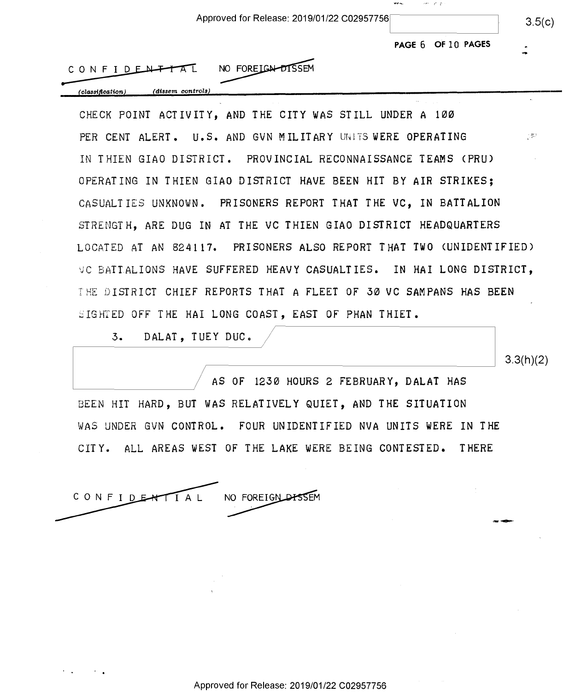Approved for Release: 2019/01/22 C02957756 Approved for Release: 2019/01/22 <sup>002957756</sup> <sup>7</sup> 35(0)

**PAGE 6 OF 10 PAGES** 

|  |  |  |  |  | $CONFIDE\rightarrow TAT$ | NO FOREIGN DISSEM |  |
|--|--|--|--|--|--------------------------|-------------------|--|
|--|--|--|--|--|--------------------------|-------------------|--|

*(classification) ( dissem controls)*  (classification) (dissem controls)

CHECK POINT ACTIVITY, AND THE CITY WAS STILL UNDER A 100 CHECK POINT ACTIVITY, AND THE CITY WAS STILL UNDER A IGO-PER CENT ALERT. U.S. AND GVN MILITARY UNITS WERE OPERATING  $\mathbb{C}^{\mathbb{R}^3}$ IN THIEN GIAO DISTRICT. PROVINCIAL RECONNAISSANCE TEAMS <PRU) IN THIEN GIAO DISTRICT. PROVINCIAL RECONNAISSANCE TEAMS (PRU) OPERATING IN THIEN GIAO DISTRICT HAVE BEEN HIT BY AIR STRIKES; OPERATING IN THIEN GIAO DISTRICT HAVE BEEN HIT BY AIR STRIKES; CASUALTIES UNKNOWN. PRISONERS REPORT THAT THE VC, IN BATTALION CASUALTIES UNKNOWN. PRISONERS REPORT THAT THE UC, IN BATTALION STRENGTH, ARE DUG IN AT THE VC THIEN GIAO DISTRICT HEADQUARTERS STRENGTH, ARE DUG IN AT THE VC THIEN GIAO DISTRICT HEADQUARTERS LOCATED AT AN 824117. PRISONERS ALSO REPORT THAT TWO CUNIDENTIFIED) LOCATED AT AN 824117. PRISONERS ALSO REPORT THAT TWO (UNIDENTIFIED) VC BATlALIONS HAVE SUFFERED HEAVY CASUALTIES. IN HAI LONG DISTRICT, 9C RATTALIONS HAVE SUFFERED HEAVY CASUALTIES. IN HAI LONG DISTRICT, THE DISTRICT CHIEF REPORTS THAT A FLEET OF 30 VC SAMPANS HAS BEEN THE DISTRICT CHIEF REPORTS THAT A FLEET OF SO UC SAMPANS HAS BEEN SIGHTED OFF THE HAI LONG COAST, EAST OF PHAN THIET.

3. DALAT, TUEY DUC.  $\sqrt{ }$ 

AS OF 1230 HOURS 2 FEBRUARY, DALAT HAS AS OF 1250 HOURS 2 FEBRUARY, DALAT HAS BEEN HIT HARD, BUT WAS RELATIVELY QUIET, AND THE SITUATION BEEN HIT HARD, BUT WAS RELATIVELY QUIET, AND THE SITUATION WAS UNDER GVN CONTROL. FOUR UNIDENTIFIED NVA UNITS WERE IN THE WAS UNDER GUN CONTROL. FOUR UNIDENTIFIED NVA UNITS WERE IN THE CITY. ALL AREAS WEST OF THE LAKE WERE BEING CONTESTED. THERE CITY. ALL AREAS WEST OF THE LAKE WERE BEING CONTESTED. THERE



3.3(h)(2) 3.3(h)(2)

--

mm-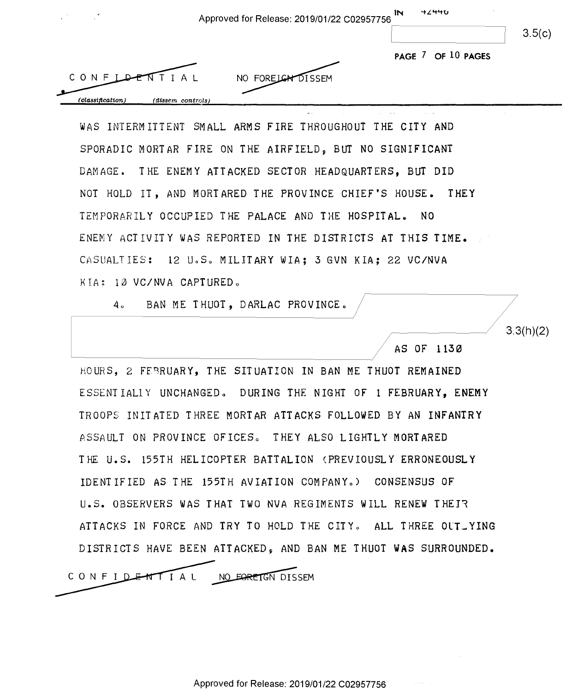| ×                | <b>42440</b><br>ĬΝ<br>Approved for Release: 2019/01/22 C02957756 |        |
|------------------|------------------------------------------------------------------|--------|
|                  |                                                                  | 3.5(c) |
|                  | PAGE 7 OF 10 PAGES                                               |        |
|                  | CONFLATTIAL<br>NO FORE CHE DISSEM                                |        |
| (classification) | $(dissem\ controls)$                                             |        |

WAS INTERMITTENT SMALL ARMS FIRE THROUGHOUT THE CITY AND WAS INTERMITTENT SMALL ARMS FIRE THROUGHOUT THE CITY AND SPORADIC MORTAR FIRE ON THE AIRFIELD, BUT NO SIGNIFICANT SPORADIC MORTAR FIRE ON THE AIRFIELD, BUT NO SIGNIFICANT DAMAGE. THE ENEMY ATTACKED SECTOR HEADQUARTERS, BUT DID DAMAGE. THE ENEMY ATTACKED SECTOR HEADQUARTERS, BUT DID NOT HOLD IT, AND MORTARED THE PROVINCE CHIEF'S HOUSE. THEY NOT HOLD IT, AND MORTARED THE PROVINCE CHIEF'S HOUSE. THEY TEMPORARILY OCCUPIED THE PALACE AND THE HOSPITAL. NO ENEMY ACTIVITY WAS REPORTED IN THE DISTRICTS AT THIS TIME. CASUALTIES: 12 U.S. MILITARY WIA; 3 GVN KIA; 22 VC/NVA KIA; 10 VC/NVA CAPTURED.

4. BAN ME THUOT, DARLAC PROVINCE.  $/$ 

AS OF 113 0 as OF 1159

 $3.3(h)(2)$ 

HOURS, 2 FF9RUARY, THE SITUATION IN BAN ME THUOT REMAINED HOURS, 2 FEBRUARY, THE SITUATION IN BAN ME THUOT REMAINED E SSE NT IALJ. Y UNCHANGED o DUR ING THE NIGHT OF 1 FEBRUARY, **ENEMY**  ESSENTIALIY UNCHANGEDG DURING THE NIGHT OF 1 FEBRUARY, ENEMY TROOP~: INITATED THREE MORTAR ATTACKS FOLLOWED BY AN **INFANTRY**  TROOPS INITATED THREE MORTAR ATTACKS FOLLOWED BY AN INFANTRY ASSAULT ON PROVINCE OFICES。 THEY ALSO LIGHTLY MORTARED THE U.S. 155TH HELICOPTER BATTALION (PREVIOUSLY ERRONEOUSLY IDENTIFIED AS THE 155TH AVIATION COMPANYo) CONSENSUS OF IDENTIFIED AS THE 155TH AVIATION COMPANYo) CONSENSUS OF U.S. OBSERVERS WAS THAT TWO NVA REGIMENTS WILL RENEW THEI1 U.S. OBSERVERS WAS THAT TWO NVA REGIMENTS WILL RENEW THEIR ATTACKS IN FORCE AND TRY TO HOLD THE CITY. ALL THREE OUTLYING DISTRICTS HAVE BEEN ATTACKED~ AND BAN ME THUOT WAS SURROUNDED. DISTRICTS HAVE BEEN ATTACKEDg AND BAN ME THUOT WAS SURROUNDED.

NO FOREIGN DISSEM CONFIDENTIAL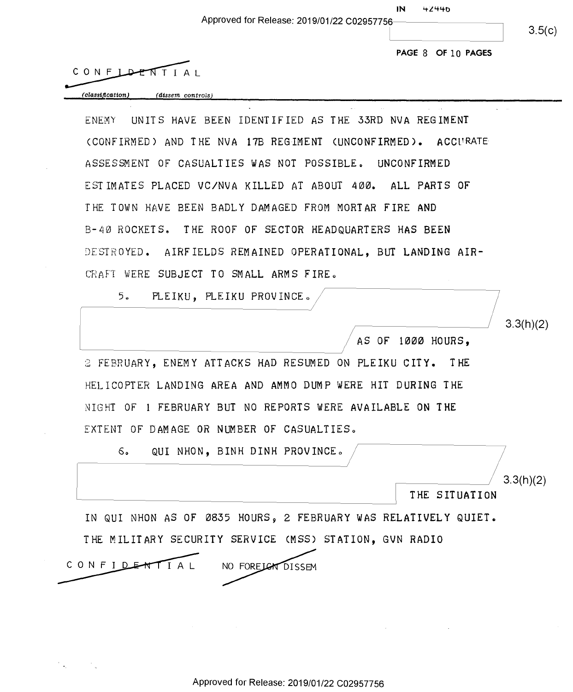Approved for Release: 2019/01/22 C02957756-------~ Approved for Release: 2019/01/22 <sup>002957756</sup> eixc)

 $3.5(c)$ 

 $3.3(h)(2)$ 

*,------~~~~II* 3. 3(h )(2) //31t2)

THE SITUATION

**PAGE** 8 **OF** 1 O **PAGES**  PAGE" 8 OF 10 PAGES

 $CONF LDEFITIAI$ 

*(classification) (d.issem controls)*  (classificatioq) (dissem controls<sup>J</sup>

ENEMY UNITS HAVE BEEN IDENTIFIED AS THE 33RD NVA REGIMENT ENEMY UNITS HAVE BEEN IDENTIFIED AS THE SSRD NVA REGIMENT (CONFIRMED) AND THE NVA 17B REGIMENT CUNCONFIRMED). ACCPRATE (CONFIRMED) AND THE NVA 17B REGIMENT (UNCONFIRMED). ACCURATE ASSESSMENT OF CASUALTIES WAS NOT POSSIBLE. UNCONFIRMED ASSESSMENT OF CASUALTIES WAS NOT POSSIBLEE UNCONFIRMED ESTIMATES PLACED VC/NVA KILLED AT ABOUT 400. ALL PARTS OF ESTIMATES PLACED VC/NUA KILLED AT ABOUT ADO. ALL PARTS OF THE TOWN HAVE BEEN BADLY DAMAGED FROM MORTAR FIRE AND B-40 ROCKETS. THE ROOF OF SECTOR HEADQUARTERS HAS BEEN B-AO ROCKETS. THE ROOF OF SECTOR HEADQUARTERS HAS BEEN DESTROYED. AIRFIELDS REMAINED OPERATIONAL, BUT LANDING AIR-CRAFT WERE SUBJECT TO SMALL ARMS FIRE.

5. PLEIKU, PLEIKU PROVINCE. $/$ 

 $/$  AS OF 1000 HOURS, .

2 FEBRUARY, ENEMY ATTACKS HAD RESUMED ON PLE IKU CITY. THE 3 FEBRUARY, ENEMY ATTACKS HAD RESUMED ON PLEIKU CITY. THE HELICOPTER LANDING AREA AND AMMO DUMP WERE HIT DURING THE RELIOOPTER LANDING AREA AND ANNO DUMP wERE HIT DURING THE NIGHT OF 1 FEBRUARY BUT NO REPORTS WERE AVAILABLE ON THE NIGHT OF 1 FEBRUARY BUT NO REPORTS wERE AVAILABLE ON THE EXTENT OF DAMAGE OR NUMBER OF CASUALTIES.

G. QUI NHON, BINH DINH PROVINCE.

IN QUI NHON AS OF 0835 HOURS, 2 FEBRUARY WAS RELATIVELY QUIET. THE MILITARY SECURITY SERVICE CMSS) STATION, GVN RADIO THE MILITARY SECURITY SERVICE (MSS) STATION, GUN RADIO CONFIDENTIAL NO FORE LEAT DISSEM

THE SITUATION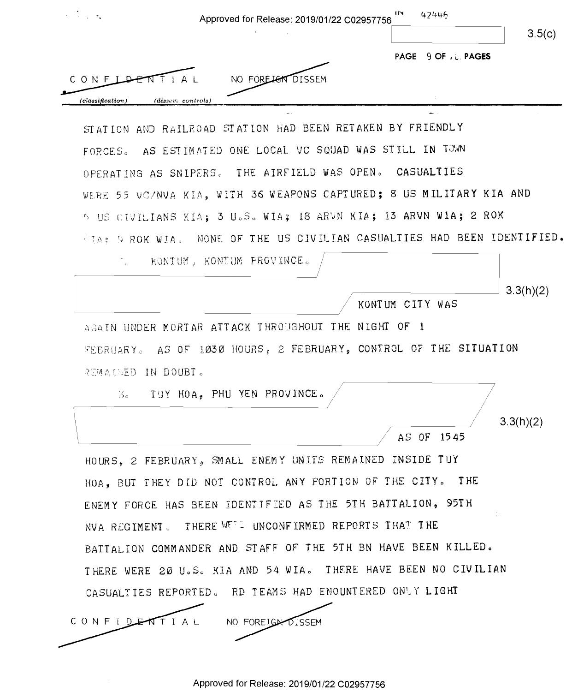| $\mathcal{L}^{\text{max}}_{\text{max}}$                                 |                   |                            | Approved for Release: 2019/01/22 C02957756 | IN              | 42446              | 3.5(c)    |
|-------------------------------------------------------------------------|-------------------|----------------------------|--------------------------------------------|-----------------|--------------------|-----------|
|                                                                         |                   |                            |                                            |                 | PAGE 9 OF JULPAGES |           |
| CONFLA                                                                  | TTIAL             | NO FORELON DISSEM          |                                            |                 |                    |           |
| (classification.)                                                       | (dissem controls) |                            |                                            |                 | $\mathcal{I}$      |           |
| STATION AND RAILROAD STATION HAD BEEN RETAKEN BY FRIENDLY               |                   |                            |                                            |                 |                    |           |
| FORCES. AS ESTIMATED ONE LOCAL VC SQUAD WAS STILL IN TOWN               |                   |                            |                                            |                 |                    |           |
| OPERATING AS SNIPERS. THE AIRFIELD WAS OPEN. CASUALTIES                 |                   |                            |                                            |                 |                    |           |
| WERE 55 VO/NVA KIA, WITH 36 WEAPONS CAPTURED; 8 US MILITARY KIA AND     |                   |                            |                                            |                 |                    |           |
| 5 US CIVILIANS KIA; 3 U.S. WIA; 18 ARVN KIA; 13 ARVN WIA; 2 ROK         |                   |                            |                                            |                 |                    |           |
| TIA; 9 ROK WIA. NONE OF THE US CIVILIAN CASUALTIES HAD BEEN IDENTIFIED. |                   |                            |                                            |                 |                    |           |
|                                                                         |                   | KONTUM, KONTUM PROVINCE.   |                                            |                 |                    |           |
|                                                                         |                   |                            |                                            |                 |                    | 3.3(h)(2) |
|                                                                         |                   |                            |                                            | KONTUM CITY WAS |                    |           |
| AGAIN UNDER MORTAR ATTACK THROUGHOUT THE NIGHT OF 1                     |                   |                            |                                            |                 |                    |           |
| FEBRUARY. AS OF 1030 HOURS, 2 FEBRUARY, CONTROL OF THE SITUATION        |                   |                            |                                            |                 |                    |           |
| REMAINED IN DOUBT.                                                      |                   |                            |                                            |                 |                    |           |
|                                                                         |                   | TUY HOA, PHU YEN PROVINCE. |                                            |                 |                    |           |
| ී ෙ                                                                     |                   |                            |                                            |                 |                    |           |
|                                                                         |                   |                            |                                            |                 |                    | 3.3(h)(2) |
|                                                                         |                   |                            |                                            |                 | AS OF 1545         |           |
| HOURS, 2 FEBRUARY, SMALL ENEMY UNITS REMAINED INSIDE TUY                |                   |                            |                                            |                 |                    |           |
| HOA, BUT THEY DID NOT CONTROL ANY PORTION OF THE CITY. THE              |                   |                            |                                            |                 |                    |           |
| ENEMY FORCE HAS BEEN IDENTIFIED AS THE 5TH BATTALION, 95TH              |                   |                            |                                            |                 |                    |           |
| NVA REGIMENT. THERE WEEL UNCONFIRMED REPORTS THAT THE                   |                   |                            |                                            |                 |                    |           |
| BATTALION COMMANDER AND STAFF OF THE 5TH BN HAVE BEEN KILLED.           |                   |                            |                                            |                 |                    |           |
| THERE WERE 20 U.S. KIA AND 54 WIA. THERE HAVE BEEN NO CIVILIAN          |                   |                            |                                            |                 |                    |           |

Approved for Release: 2019/01/22 C02957756 Approved for Release: 2019/01/22 002957756